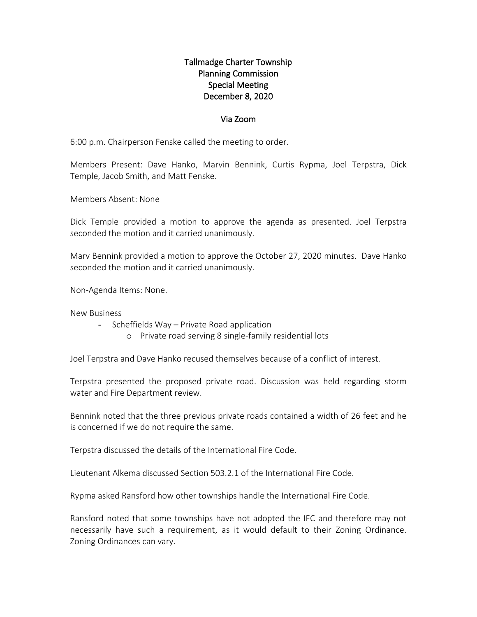## Tallmadge Charter Township Planning Commission Special Meeting December 8, 2020

## Via Zoom

6:00 p.m. Chairperson Fenske called the meeting to order.

Members Present: Dave Hanko, Marvin Bennink, Curtis Rypma, Joel Terpstra, Dick Temple, Jacob Smith, and Matt Fenske.

Members Absent: None

Dick Temple provided a motion to approve the agenda as presented. Joel Terpstra seconded the motion and it carried unanimously.

Marv Bennink provided a motion to approve the October 27, 2020 minutes. Dave Hanko seconded the motion and it carried unanimously.

Non-Agenda Items: None.

New Business

- Scheffields Way Private Road application
	- o Private road serving 8 single-family residential lots

Joel Terpstra and Dave Hanko recused themselves because of a conflict of interest.

Terpstra presented the proposed private road. Discussion was held regarding storm water and Fire Department review.

Bennink noted that the three previous private roads contained a width of 26 feet and he is concerned if we do not require the same.

Terpstra discussed the details of the International Fire Code.

Lieutenant Alkema discussed Section 503.2.1 of the International Fire Code.

Rypma asked Ransford how other townships handle the International Fire Code.

Ransford noted that some townships have not adopted the IFC and therefore may not necessarily have such a requirement, as it would default to their Zoning Ordinance. Zoning Ordinances can vary.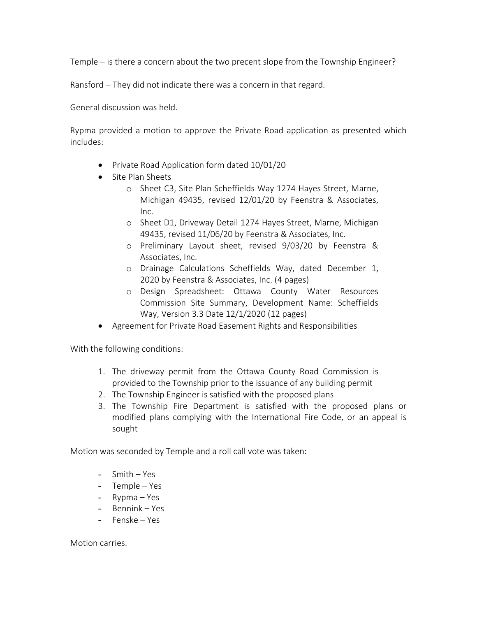Temple – is there a concern about the two precent slope from the Township Engineer?

Ransford – They did not indicate there was a concern in that regard.

General discussion was held.

Rypma provided a motion to approve the Private Road application as presented which includes:

- Private Road Application form dated 10/01/20
- Site Plan Sheets
	- o Sheet C3, Site Plan Scheffields Way 1274 Hayes Street, Marne, Michigan 49435, revised 12/01/20 by Feenstra & Associates, Inc.
	- o Sheet D1, Driveway Detail 1274 Hayes Street, Marne, Michigan 49435, revised 11/06/20 by Feenstra & Associates, Inc.
	- o Preliminary Layout sheet, revised 9/03/20 by Feenstra & Associates, Inc.
	- o Drainage Calculations Scheffields Way, dated December 1, 2020 by Feenstra & Associates, Inc. (4 pages)
	- o Design Spreadsheet: Ottawa County Water Resources Commission Site Summary, Development Name: Scheffields Way, Version 3.3 Date 12/1/2020 (12 pages)
- Agreement for Private Road Easement Rights and Responsibilities

With the following conditions:

- 1. The driveway permit from the Ottawa County Road Commission is provided to the Township prior to the issuance of any building permit
- 2. The Township Engineer is satisfied with the proposed plans
- 3. The Township Fire Department is satisfied with the proposed plans or modified plans complying with the International Fire Code, or an appeal is sought

Motion was seconded by Temple and a roll call vote was taken:

- Smith Yes
- Temple Yes
- Rypma Yes
- Bennink Yes
- Fenske Yes

Motion carries.